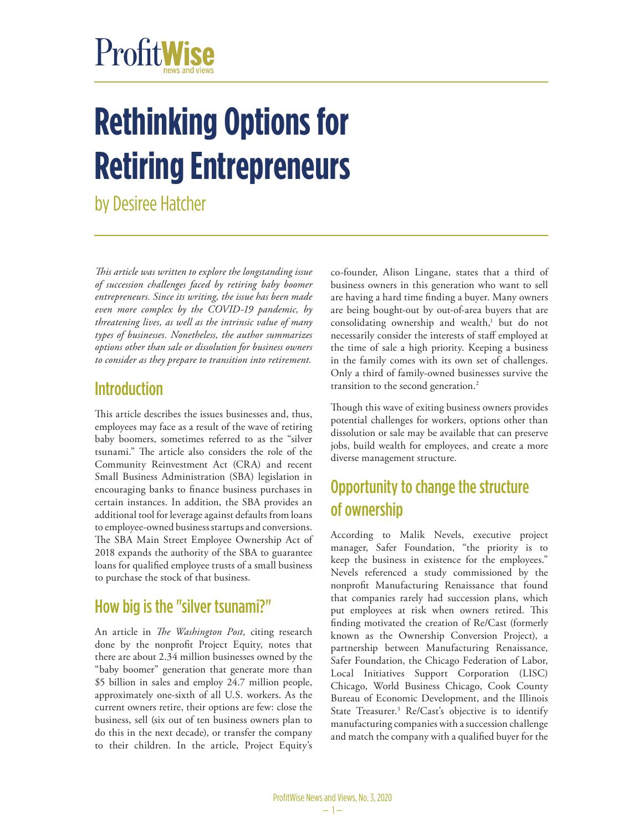# ProfitWise

## **Rethinking Options for Retiring Entrepreneurs**

by Desiree Hatcher

*This article was written to explore the longstanding issue of succession challenges faced by retiring baby boomer entrepreneurs. Since its writing, the issue has been made even more complex by the COVID-19 pandemic, by threatening lives, as well as the intrinsic value of many types of businesses. Nonetheless, the author summarizes options other than sale or dissolution for business owners to consider as they prepare to transition into retirement.*

#### **Introduction**

This article describes the issues businesses and, thus, employees may face as a result of the wave of retiring baby boomers, sometimes referred to as the "silver tsunami." The article also considers the role of the Community Reinvestment Act (CRA) and recent Small Business Administration (SBA) legislation in encouraging banks to finance business purchases in certain instances. In addition, the SBA provides an additional tool for leverage against defaults from loans to employee-owned business startups and conversions. The SBA Main Street Employee Ownership Act of 2018 expands the authority of the SBA to guarantee loans for qualified employee trusts of a small business to purchase the stock of that business.

#### How big is the "silver tsunami?"

An article in *The Washington Post,* citing research done by the nonprofit Project Equity, notes that there are about 2.34 million businesses owned by the "baby boomer" generation that generate more than \$5 billion in sales and employ 24.7 million people, approximately one-sixth of all U.S. workers. As the current owners retire, their options are few: close the business, sell (six out of ten business owners plan to do this in the next decade), or transfer the company to their children. In the article, Project Equity's

co-founder, Alison Lingane, states that a third of business owners in this generation who want to sell are having a hard time finding a buyer. Many owners are being bought-out by out-of-area buyers that are consolidating ownership and wealth,<sup>1</sup> but do not necessarily consider the interests of staff employed at the time of sale a high priority. Keeping a business in the family comes with its own set of challenges. Only a third of family-owned businesses survive the transition to the second generation.<sup>2</sup>

Though this wave of exiting business owners provides potential challenges for workers, options other than dissolution or sale may be available that can preserve jobs, build wealth for employees, and create a more diverse management structure.

## Opportunity to change the structure of ownership

According to Malik Nevels, executive project manager, Safer Foundation, "the priority is to keep the business in existence for the employees." Nevels referenced a study commissioned by the nonprofit Manufacturing Renaissance that found that companies rarely had succession plans, which put employees at risk when owners retired. This finding motivated the creation of Re/Cast (formerly known as the Ownership Conversion Project), a partnership between Manufacturing Renaissance, Safer Foundation, the Chicago Federation of Labor, Local Initiatives Support Corporation (LISC) Chicago, World Business Chicago, Cook County Bureau of Economic Development, and the Illinois State Treasurer.<sup>3</sup> Re/Cast's objective is to identify manufacturing companies with a succession challenge and match the company with a qualified buyer for the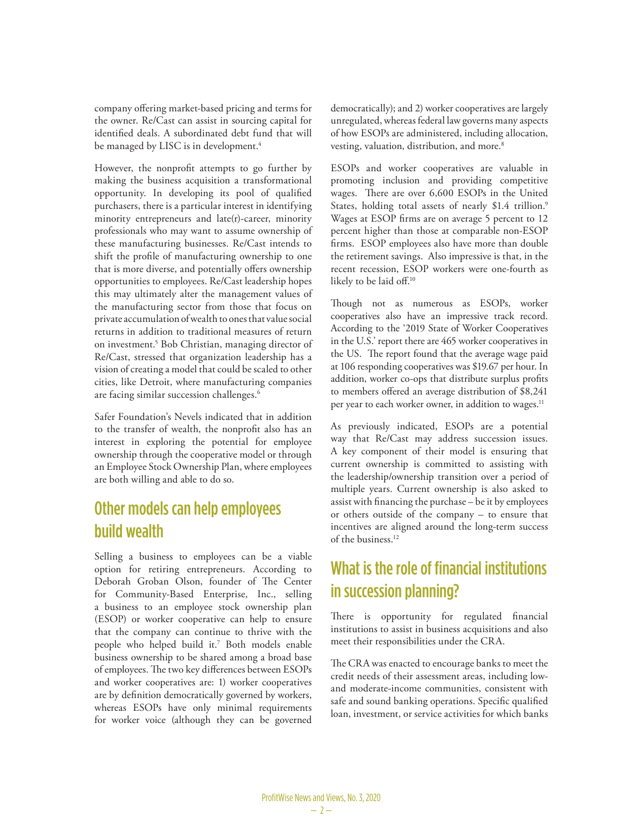company offering market-based pricing and terms for the owner. Re/Cast can assist in sourcing capital for identified deals. A subordinated debt fund that will be managed by LISC is in development. $^4$ 

However, the nonprofit attempts to go further by making the business acquisition a transformational opportunity. In developing its pool of qualified purchasers, there is a particular interest in identifying minority entrepreneurs and late(r)-career, minority professionals who may want to assume ownership of these manufacturing businesses. Re/Cast intends to shift the profile of manufacturing ownership to one that is more diverse, and potentially offers ownership opportunities to employees. Re/Cast leadership hopes this may ultimately alter the management values of the manufacturing sector from those that focus on private accumulation of wealth to ones that value social returns in addition to traditional measures of return on investment.<sup>5</sup> Bob Christian, managing director of Re/Cast, stressed that organization leadership has a vision of creating a model that could be scaled to other cities, like Detroit, where manufacturing companies are facing similar succession challenges.<sup>6</sup>

Safer Foundation's Nevels indicated that in addition to the transfer of wealth, the nonprofit also has an interest in exploring the potential for employee ownership through the cooperative model or through an Employee Stock Ownership Plan, where employees are both willing and able to do so.

#### Other models can help employees build wealth

Selling a business to employees can be a viable option for retiring entrepreneurs. According to Deborah Groban Olson, founder of The Center for Community-Based Enterprise, Inc., selling a business to an employee stock ownership plan (ESOP) or worker cooperative can help to ensure that the company can continue to thrive with the people who helped build it.7 Both models enable business ownership to be shared among a broad base of employees. The two key differences between ESOPs and worker cooperatives are: 1) worker cooperatives are by definition democratically governed by workers, whereas ESOPs have only minimal requirements for worker voice (although they can be governed

democratically); and 2) worker cooperatives are largely unregulated, whereas federal law governs many aspects of how ESOPs are administered, including allocation, vesting, valuation, distribution, and more.<sup>8</sup>

ESOPs and worker cooperatives are valuable in promoting inclusion and providing competitive wages. There are over 6,600 ESOPs in the United States, holding total assets of nearly \$1.4 trillion.<sup>9</sup> Wages at ESOP firms are on average 5 percent to 12 percent higher than those at comparable non-ESOP firms. ESOP employees also have more than double the retirement savings. Also impressive is that, in the recent recession, ESOP workers were one-fourth as likely to be laid off.<sup>10</sup>

Though not as numerous as ESOPs, worker cooperatives also have an impressive track record. According to the '2019 State of Worker Cooperatives in the U.S.' report there are 465 worker cooperatives in the US. The report found that the average wage paid at 106 responding cooperatives was \$19.67 per hour. In addition, worker co-ops that distribute surplus profits to members offered an average distribution of \$8,241 per year to each worker owner, in addition to wages.<sup>11</sup>

As previously indicated, ESOPs are a potential way that Re/Cast may address succession issues. A key component of their model is ensuring that current ownership is committed to assisting with the leadership/ownership transition over a period of multiple years. Current ownership is also asked to assist with financing the purchase – be it by employees or others outside of the company – to ensure that incentives are aligned around the long-term success of the business.12

### What is the role of financial institutions in succession planning?

There is opportunity for regulated financial institutions to assist in business acquisitions and also meet their responsibilities under the CRA.

The CRA was enacted to encourage banks to meet the credit needs of their assessment areas, including lowand moderate-income communities, consistent with safe and sound banking operations. Specific qualified loan, investment, or service activities for which banks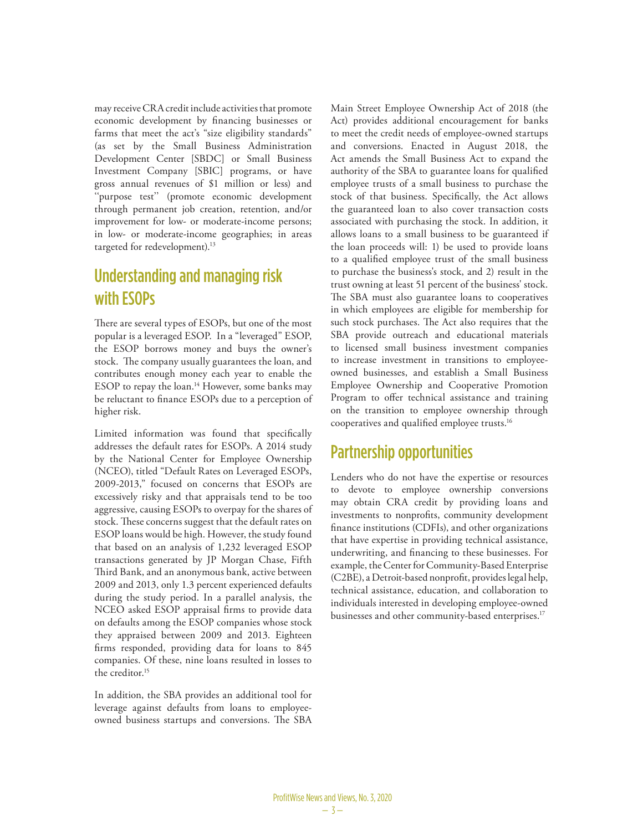may receive CRA credit include activities that promote economic development by financing businesses or farms that meet the act's "size eligibility standards" (as set by the Small Business Administration Development Center [SBDC] or Small Business Investment Company [SBIC] programs, or have gross annual revenues of \$1 million or less) and "purpose test" (promote economic development through permanent job creation, retention, and/or improvement for low- or moderate-income persons; in low- or moderate-income geographies; in areas targeted for redevelopment).<sup>13</sup>

#### Understanding and managing risk with ESOPs

There are several types of ESOPs, but one of the most popular is a leveraged ESOP. In a "leveraged" ESOP, the ESOP borrows money and buys the owner's stock. The company usually guarantees the loan, and contributes enough money each year to enable the ESOP to repay the loan.<sup>14</sup> However, some banks may be reluctant to finance ESOPs due to a perception of higher risk.

Limited information was found that specifically addresses the default rates for ESOPs. A 2014 study by the National Center for Employee Ownership (NCEO), titled "Default Rates on Leveraged ESOPs, 2009-2013," focused on concerns that ESOPs are excessively risky and that appraisals tend to be too aggressive, causing ESOPs to overpay for the shares of stock. These concerns suggest that the default rates on ESOP loans would be high. However, the study found that based on an analysis of 1,232 leveraged ESOP transactions generated by JP Morgan Chase, Fifth Third Bank, and an anonymous bank, active between 2009 and 2013, only 1.3 percent experienced defaults during the study period. In a parallel analysis, the NCEO asked ESOP appraisal firms to provide data on defaults among the ESOP companies whose stock they appraised between 2009 and 2013. Eighteen firms responded, providing data for loans to 845 companies. Of these, nine loans resulted in losses to the creditor.15

In addition, the SBA provides an additional tool for leverage against defaults from loans to employeeowned business startups and conversions. The SBA Main Street Employee Ownership Act of 2018 (the Act) provides additional encouragement for banks to meet the credit needs of employee-owned startups and conversions. Enacted in August 2018, the Act amends the Small Business Act to expand the authority of the SBA to guarantee loans for qualified employee trusts of a small business to purchase the stock of that business. Specifically, the Act allows the guaranteed loan to also cover transaction costs associated with purchasing the stock. In addition, it allows loans to a small business to be guaranteed if the loan proceeds will: 1) be used to provide loans to a qualified employee trust of the small business to purchase the business's stock, and 2) result in the trust owning at least 51 percent of the business' stock. The SBA must also guarantee loans to cooperatives in which employees are eligible for membership for such stock purchases. The Act also requires that the SBA provide outreach and educational materials to licensed small business investment companies to increase investment in transitions to employeeowned businesses, and establish a Small Business Employee Ownership and Cooperative Promotion Program to offer technical assistance and training on the transition to employee ownership through cooperatives and qualified employee trusts.16

#### Partnership opportunities

Lenders who do not have the expertise or resources to devote to employee ownership conversions may obtain CRA credit by providing loans and investments to nonprofits, community development finance institutions (CDFIs), and other organizations that have expertise in providing technical assistance, underwriting, and financing to these businesses. For example, the Center for Community-Based Enterprise (C2BE), a Detroit-based nonprofit, provides legal help, technical assistance, education, and collaboration to individuals interested in developing employee-owned businesses and other community-based enterprises.<sup>17</sup>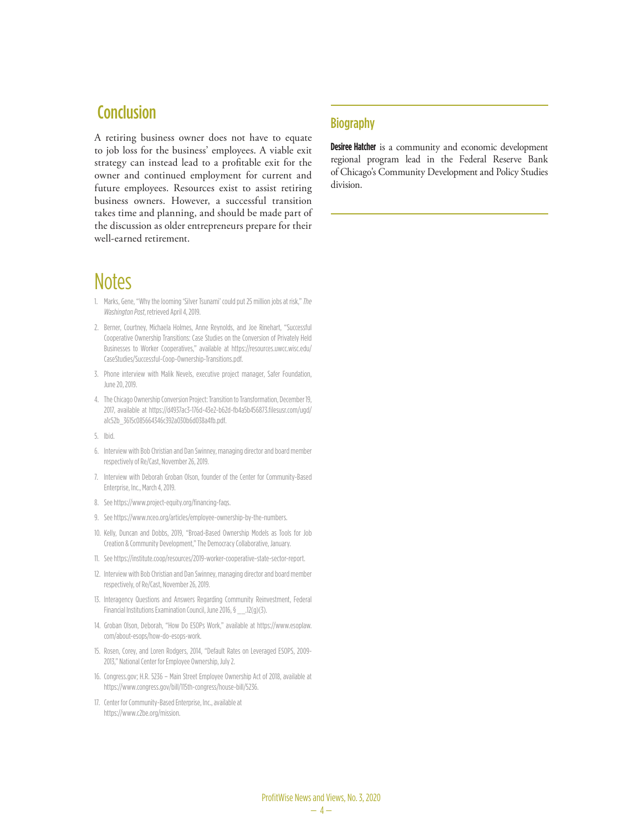#### Conclusion

A retiring business owner does not have to equate to job loss for the business' employees. A viable exit strategy can instead lead to a profitable exit for the owner and continued employment for current and future employees. Resources exist to assist retiring business owners. However, a successful transition takes time and planning, and should be made part of the discussion as older entrepreneurs prepare for their well-earned retirement.

#### **Notes**

- 1. Marks, Gene, "Why the looming 'Silver Tsunami' could put 25 million jobs at risk," *The Washington Post*, retrieved April 4, 2019.
- 2. Berner, Courtney, Michaela Holmes, Anne Reynolds, and Joe Rinehart, "Successful Cooperative Ownership Transitions: Case Studies on the Conversion of Privately Held Businesses to Worker Cooperatives," available at https://resources.uwcc.wisc.edu/ CaseStudies/Successful-Coop-Ownership-Transitions.pdf.
- 3. Phone interview with Malik Nevels, executive project manager, Safer Foundation, June 20, 2019.
- 4. The Chicago Ownership Conversion Project: Transition to Transformation, December 19, 2017, available at https://d4937ac3-176d-43e2-b62d-fb4a5b456873.filesusr.com/ugd/ a1c52b\_3615c085664346c392a030b6d038a4fb.pdf.
- 5. Ibid.
- 6. Interview with Bob Christian and Dan Swinney, managing director and board member respectively of Re/Cast, November 26, 2019.
- 7. Interview with Deborah Groban Olson, founder of the Center for Community-Based Enterprise, Inc., March 4, 2019.
- 8. See https://www.project-equity.org/financing-faqs.
- 9. See https://www.nceo.org/articles/employee-ownership-by-the-numbers.
- 10. Kelly, Duncan and Dobbs, 2019, "Broad-Based Ownership Models as Tools for Job Creation & Community Development," The Democracy Collaborative, January.
- 11. See https://institute.coop/resources/2019-worker-cooperative-state-sector-report.
- 12. Interview with Bob Christian and Dan Swinney, managing director and board member respectively, of Re/Cast, November 26, 2019.
- 13. Interagency Questions and Answers Regarding Community Reinvestment, Federal Financial Institutions Examination Council, June 2016, § 12(g)(3).
- 14. Groban Olson, Deborah, "How Do ESOPs Work," available at https://www.esoplaw. com/about-esops/how-do-esops-work.
- 15. Rosen, Corey, and Loren Rodgers, 2014, "Default Rates on Leveraged ESOPS, 2009- 2013," National Center for Employee Ownership, July 2.
- 16. Congress.gov; H.R. 5236 Main Street Employee Ownership Act of 2018, available at https://www.congress.gov/bill/115th-congress/house-bill/5236.
- 17. Center for Community-Based Enterprise, Inc., available at https://www.c2be.org/mission.

#### **Biography**

**Desiree Hatcher** is a community and economic development regional program lead in the Federal Reserve Bank of Chicago's Community Development and Policy Studies division.